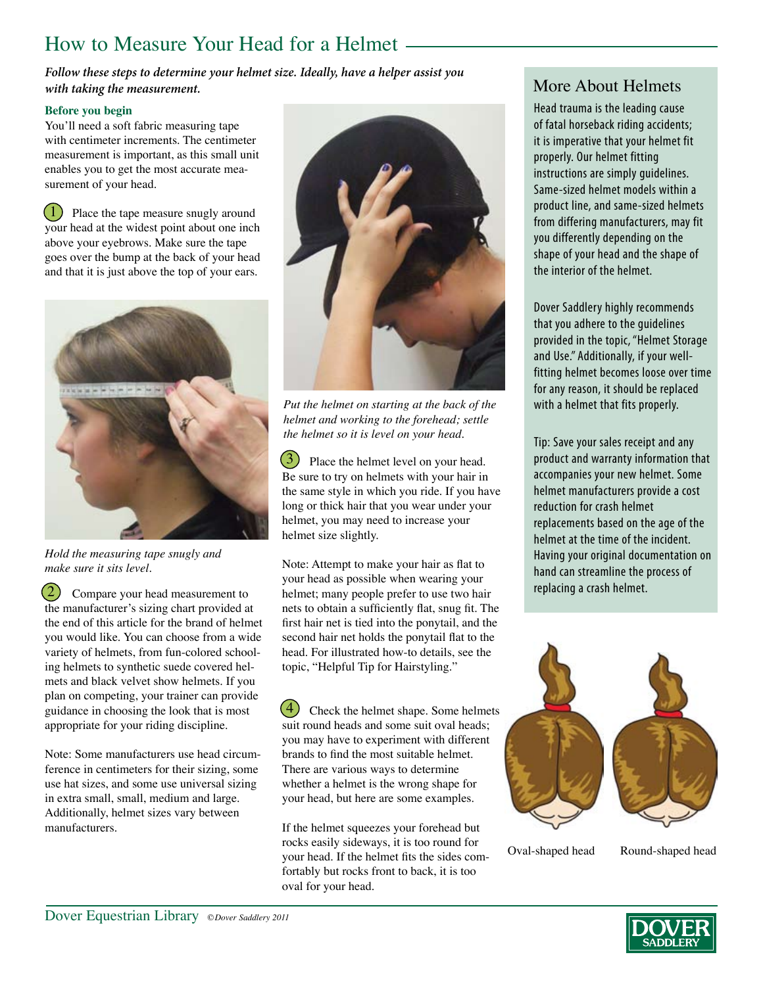## How to Measure Your Head for a Helmet

More About Helmets *Follow these steps to determine your helmet size. Ideally, have a helper assist you with taking the measurement.* 

#### **Before you begin**

You'll need a soft fabric measuring tape with centimeter increments. The centimeter measurement is important, as this small unit enables you to get the most accurate measurement of your head.

Place the tape measure snugly around your head at the widest point about one inch above your eyebrows. Make sure the tape goes over the bump at the back of your head and that it is just above the top of your ears.  $(1)$ 



*Hold the measuring tape snugly and make sure it sits level.*

2) Compare your head measurement to the manufacturer's sizing chart provided at the end of this article for the brand of helmet you would like. You can choose from a wide variety of helmets, from fun-colored schooling helmets to synthetic suede covered helmets and black velvet show helmets. If you plan on competing, your trainer can provide guidance in choosing the look that is most appropriate for your riding discipline. 2

Note: Some manufacturers use head circumference in centimeters for their sizing, some use hat sizes, and some use universal sizing in extra small, small, medium and large. Additionally, helmet sizes vary between manufacturers.



*Put the helmet on starting at the back of the helmet and working to the forehead; settle the helmet so it is level on your head.*

3 Place the helmet level on your head. Be sure to try on helmets with your hair in the same style in which you ride. If you have long or thick hair that you wear under your helmet, you may need to increase your helmet size slightly.

Note: Attempt to make your hair as flat to your head as possible when wearing your helmet; many people prefer to use two hair nets to obtain a sufficiently flat, snug fit. The first hair net is tied into the ponytail, and the second hair net holds the ponytail flat to the head. For illustrated how-to details, see the topic, "Helpful Tip for Hairstyling."

4) Check the helmet shape. Some helmets suit round heads and some suit oval heads; you may have to experiment with different brands to find the most suitable helmet. There are various ways to determine whether a helmet is the wrong shape for your head, but here are some examples. 4

If the helmet squeezes your forehead but rocks easily sideways, it is too round for your head. If the helmet fits the sides comfortably but rocks front to back, it is too oval for your head.

Head trauma is the leading cause of fatal horseback riding accidents; it is imperative that your helmet fit properly. Our helmet fitting instructions are simply guidelines. Same-sized helmet models within a product line, and same-sized helmets from differing manufacturers, may fit you differently depending on the shape of your head and the shape of the interior of the helmet.

Dover Saddlery highly recommends that you adhere to the guidelines provided in the topic, "Helmet Storage and Use." Additionally, if your wellfitting helmet becomes loose over time for any reason, it should be replaced with a helmet that fits properly.

Tip: Save your sales receipt and any product and warranty information that accompanies your new helmet. Some helmet manufacturers provide a cost reduction for crash helmet replacements based on the age of the helmet at the time of the incident. Having your original documentation on hand can streamline the process of replacing a crash helmet.



Oval-shaped head Round-shaped head

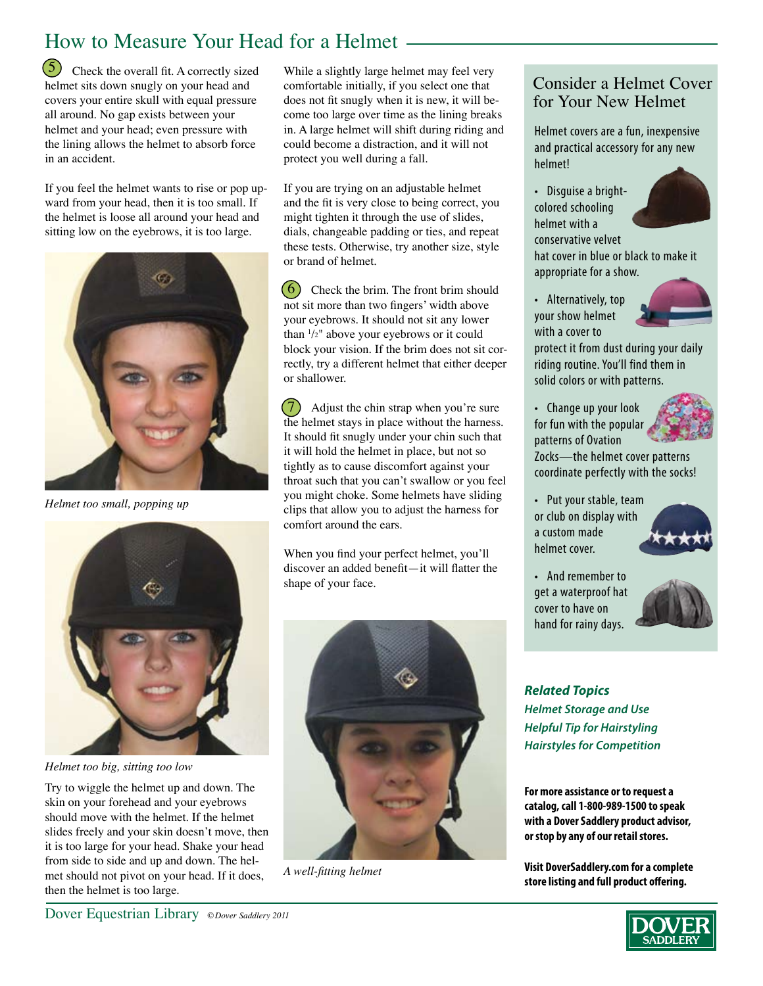# How to Measure Your Head for a Helmet

 $\overline{5}$  Check the overall fit. A correctly sized helmet sits down snugly on your head and covers your entire skull with equal pressure all around. No gap exists between your helmet and your head; even pressure with the lining allows the helmet to absorb force in an accident.

If you feel the helmet wants to rise or pop upward from your head, then it is too small. If the helmet is loose all around your head and sitting low on the eyebrows, it is too large.



*Helmet too small, popping up*



*Helmet too big, sitting too low*

Try to wiggle the helmet up and down. The skin on your forehead and your eyebrows should move with the helmet. If the helmet slides freely and your skin doesn't move, then it is too large for your head. Shake your head from side to side and up and down. The helmet should not pivot on your head. If it does, then the helmet is too large.

While a slightly large helmet may feel very comfortable initially, if you select one that does not fit snugly when it is new, it will become too large over time as the lining breaks in. A large helmet will shift during riding and could become a distraction, and it will not protect you well during a fall.

If you are trying on an adjustable helmet and the fit is very close to being correct, you might tighten it through the use of slides, dials, changeable padding or ties, and repeat these tests. Otherwise, try another size, style or brand of helmet.

 $\left(6\right)$  Check the brim. The front brim should not sit more than two fingers' width above your eyebrows. It should not sit any lower than 1 /2" above your eyebrows or it could block your vision. If the brim does not sit correctly, try a different helmet that either deeper or shallower.

Adjust the chin strap when you're sure the helmet stays in place without the harness. It should fit snugly under your chin such that it will hold the helmet in place, but not so tightly as to cause discomfort against your throat such that you can't swallow or you feel you might choke. Some helmets have sliding clips that allow you to adjust the harness for comfort around the ears.  $(7)$ 

When you find your perfect helmet, you'll discover an added benefit—it will flatter the shape of your face.



*A well-fitting helmet*

#### Consider a Helmet Cover for Your New Helmet

Helmet covers are a fun, inexpensive and practical accessory for any new helmet!

• Disguise a brightcolored schooling helmet with a conservative velvet



hat cover in blue or black to make it appropriate for a show.

• Alternatively, top your show helmet with a cover to



protect it from dust during your daily riding routine. You'll find them in solid colors or with patterns.

• Change up your look for fun with the popular patterns of Ovation



Zocks—the helmet cover patterns coordinate perfectly with the socks!

• Put your stable, team or club on display with a custom made helmet cover.



• And remember to get a waterproof hat cover to have on hand for rainy days.



*Related Topics Helmet Storage and Use Helpful Tip for Hairstyling Hairstyles for Competition*

**For more assistance or to request a catalog, call 1-800-989-1500 to speak with a Dover Saddlery product advisor, or stop by any of our retail stores.**

**Visit DoverSaddlery.com for a complete store listing and full product offering.**